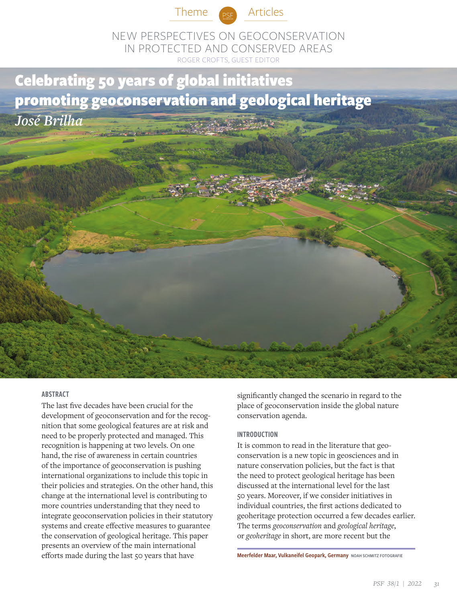



NEW PERSPECTIVES ON GEOCONSERVATION IN PROTECTED AND CONSERVED AREAS ROGER CROFTS, GUEST EDITOR

# Celebrating 50 years of global initiatives promoting geoconservation and geological heritage *José Brilha*



# **ABSTRACT**

The last five decades have been crucial for the development of geoconservation and for the recognition that some geological features are at risk and need to be properly protected and managed. This recognition is happening at two levels. On one hand, the rise of awareness in certain countries of the importance of geoconservation is pushing international organizations to include this topic in their policies and strategies. On the other hand, this change at the international level is contributing to more countries understanding that they need to integrate geoconservation policies in their statutory systems and create effective measures to guarantee the conservation of geological heritage. This paper presents an overview of the main international efforts made during the last 50 years that have

significantly changed the scenario in regard to the place of geoconservation inside the global nature conservation agenda.

#### INTRODUCTION

It is common to read in the literature that geoconservation is a new topic in geosciences and in nature conservation policies, but the fact is that the need to protect geological heritage has been discussed at the international level for the last 50 years. Moreover, if we consider initiatives in individual countries, the first actions dedicated to geoheritage protection occurred a few decades earlier. The terms *geoconservation* and *geological heritage*, or *geoheritage* in short, are more recent but the

Meerfelder Maar, Vulkaneifel Geopark, Germany NOAH SCHMITZ FOTOGRAFIE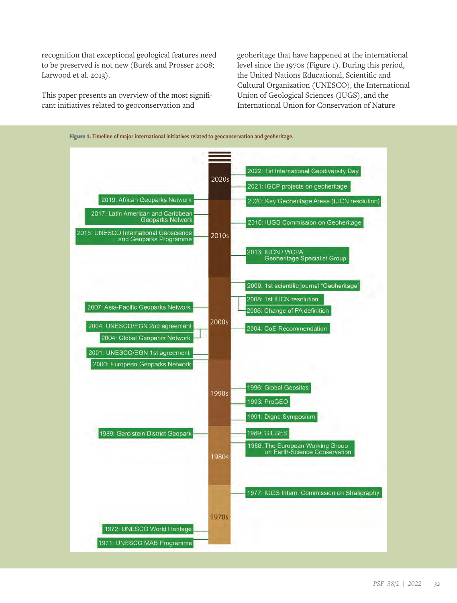recognition that exceptional geological features need to be preserved is not new (Burek and Prosser 2008; Larwood et al. 2013).

This paper presents an overview of the most significant initiatives related to geoconservation and

geoheritage that have happened at the international level since the 1970s (Figure 1). During this period, the United Nations Educational, Scientific and Cultural Organization (UNESCO), the International Union of Geological Sciences (IUGS), and the International Union for Conservation of Nature

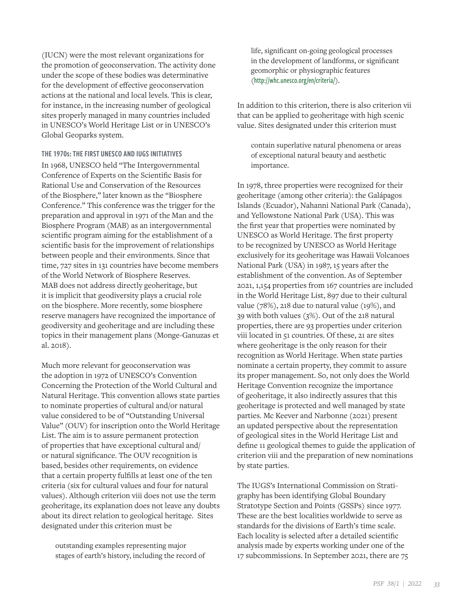(IUCN) were the most relevant organizations for the promotion of geoconservation. The activity done under the scope of these bodies was determinative for the development of effective geoconservation actions at the national and local levels. This is clear, for instance, in the increasing number of geological sites properly managed in many countries included in UNESCO's World Heritage List or in UNESCO's Global Geoparks system.

# THE 1970s: THE FIRST UNESCO AND IUGS INITIATIVES

In 1968, UNESCO held "The Intergovernmental Conference of Experts on the Scientific Basis for Rational Use and Conservation of the Resources of the Biosphere," later known as the "Biosphere Conference." This conference was the trigger for the preparation and approval in 1971 of the Man and the Biosphere Program (MAB) as an intergovernmental scientific program aiming for the establishment of a scientific basis for the improvement of relationships between people and their environments. Since that time, 727 sites in 131 countries have become members of the World Network of Biosphere Reserves. MAB does not address directly geoheritage, but it is implicit that geodiversity plays a crucial role on the biosphere. More recently, some biosphere reserve managers have recognized the importance of geodiversity and geoheritage and are including these topics in their management plans (Monge-Ganuzas et al. 2018).

Much more relevant for geoconservation was the adoption in 1972 of UNESCO's Convention Concerning the Protection of the World Cultural and Natural Heritage. This convention allows state parties to nominate properties of cultural and/or natural value considered to be of "Outstanding Universal Value" (OUV) for inscription onto the World Heritage List. The aim is to assure permanent protection of properties that have exceptional cultural and/ or natural significance. The OUV recognition is based, besides other requirements, on evidence that a certain property fulfills at least one of the ten criteria (six for cultural values and four for natural values). Although criterion viii does not use the term geoheritage, its explanation does not leave any doubts about its direct relation to geological heritage. Sites designated under this criterion must be

outstanding examples representing major stages of earth's history, including the record of life, significant on-going geological processes in the development of landforms, or significant geomorphic or physiographic features (<http://whc.unesco.org/en/criteria/>).

In addition to this criterion, there is also criterion vii that can be applied to geoheritage with high scenic value. Sites designated under this criterion must

contain superlative natural phenomena or areas of exceptional natural beauty and aesthetic importance.

In 1978, three properties were recognized for their geoheritage (among other criteria): the Galápagos Islands (Ecuador), Nahanni National Park (Canada), and Yellowstone National Park (USA). This was the first year that properties were nominated by UNESCO as World Heritage. The first property to be recognized by UNESCO as World Heritage exclusively for its geoheritage was Hawaii Volcanoes National Park (USA) in 1987, 15 years after the establishment of the convention. As of September 2021, 1,154 properties from 167 countries are included in the World Heritage List, 897 due to their cultural value (78%), 218 due to natural value (19%), and 39 with both values (3%). Out of the 218 natural properties, there are 93 properties under criterion viii located in 51 countries. Of these, 21 are sites where geoheritage is the only reason for their recognition as World Heritage. When state parties nominate a certain property, they commit to assure its proper management. So, not only does the World Heritage Convention recognize the importance of geoheritage, it also indirectly assures that this geoheritage is protected and well managed by state parties. Mc Keever and Narbonne (2021) present an updated perspective about the representation of geological sites in the World Heritage List and define 11 geological themes to guide the application of criterion viii and the preparation of new nominations by state parties.

The IUGS's International Commission on Stratigraphy has been identifying Global Boundary Stratotype Section and Points (GSSPs) since 1977. These are the best localities worldwide to serve as standards for the divisions of Earth's time scale. Each locality is selected after a detailed scientific analysis made by experts working under one of the 17 subcommissions. In September 2021, there are 75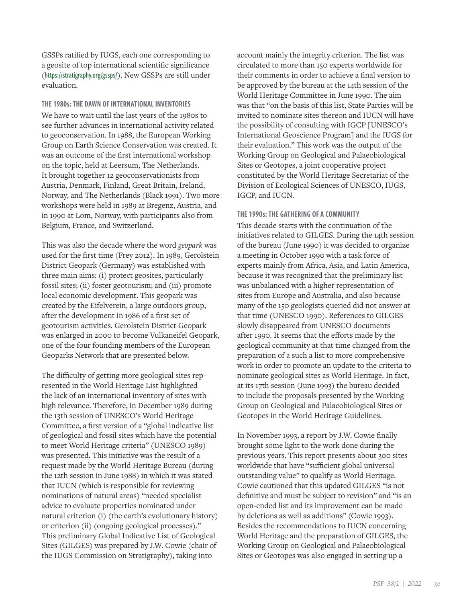GSSPs ratified by IUGS, each one corresponding to a geosite of top international scientific significance (<https://stratigraphy.org/gssps/>). New GSSPs are still under evaluation.

THE 1980s: THE DAWN OF INTERNATIONAL INVENTORIES We have to wait until the last years of the 1980s to see further advances in international activity related to geoconservation. In 1988, the European Working Group on Earth Science Conservation was created. It was an outcome of the first international workshop on the topic, held at Leersum, The Netherlands. It brought together 12 geoconservationists from Austria, Denmark, Finland, Great Britain, Ireland, Norway, and The Netherlands (Black 1991). Two more workshops were held in 1989 at Bregenz, Austria, and in 1990 at Lom, Norway, with participants also from Belgium, France, and Switzerland.

This was also the decade where the word *geopark* was used for the first time (Frey 2012). In 1989, Gerolstein District Geopark (Germany) was established with three main aims: (i) protect geosites, particularly fossil sites; (ii) foster geotourism; and (iii) promote local economic development. This geopark was created by the Eifelverein, a large outdoors group, after the development in 1986 of a first set of geotourism activities. Gerolstein District Geopark was enlarged in 2000 to become Vulkaneifel Geopark, one of the four founding members of the European Geoparks Network that are presented below.

The difficulty of getting more geological sites represented in the World Heritage List highlighted the lack of an international inventory of sites with high relevance. Therefore, in December 1989 during the 13th session of UNESCO's World Heritage Committee, a first version of a "global indicative list of geological and fossil sites which have the potential to meet World Heritage criteria" (UNESCO 1989) was presented. This initiative was the result of a request made by the World Heritage Bureau (during the 12th session in June 1988) in which it was stated that IUCN (which is responsible for reviewing nominations of natural areas) "needed specialist advice to evaluate properties nominated under natural criterion (i) (the earth's evolutionary history) or criterion (ii) (ongoing geological processes)." This preliminary Global Indicative List of Geological Sites (GILGES) was prepared by J.W. Cowie (chair of the IUGS Commission on Stratigraphy), taking into

account mainly the integrity criterion. The list was circulated to more than 150 experts worldwide for their comments in order to achieve a final version to be approved by the bureau at the 14th session of the World Heritage Committee in June 1990. The aim was that "on the basis of this list, State Parties will be invited to nominate sites thereon and IUCN will have the possibility of consulting with IGCP [UNESCO's International Geoscience Program] and the IUGS for their evaluation." This work was the output of the Working Group on Geological and Palaeobiological Sites or Geotopes, a joint cooperative project constituted by the World Heritage Secretariat of the Division of Ecological Sciences of UNESCO, IUGS, IGCP, and IUCN.

# THE 1990s: THE GATHERING OF A COMMUNITY

This decade starts with the continuation of the initiatives related to GILGES. During the 14th session of the bureau (June 1990) it was decided to organize a meeting in October 1990 with a task force of experts mainly from Africa, Asia, and Latin America, because it was recognized that the preliminary list was unbalanced with a higher representation of sites from Europe and Australia, and also because many of the 150 geologists queried did not answer at that time (UNESCO 1990). References to GILGES slowly disappeared from UNESCO documents after 1990. It seems that the efforts made by the geological community at that time changed from the preparation of a such a list to more comprehensive work in order to promote an update to the criteria to nominate geological sites as World Heritage. In fact, at its 17th session (June 1993) the bureau decided to include the proposals presented by the Working Group on Geological and Palaeobiological Sites or Geotopes in the World Heritage Guidelines.

In November 1993, a report by J.W. Cowie finally brought some light to the work done during the previous years. This report presents about 300 sites worldwide that have "sufficient global universal outstanding value" to qualify as World Heritage. Cowie cautioned that this updated GILGES "is not definitive and must be subject to revision" and "is an open-ended list and its improvement can be made by deletions as well as additions" (Cowie 1993). Besides the recommendations to IUCN concerning World Heritage and the preparation of GILGES, the Working Group on Geological and Palaeobiological Sites or Geotopes was also engaged in setting up a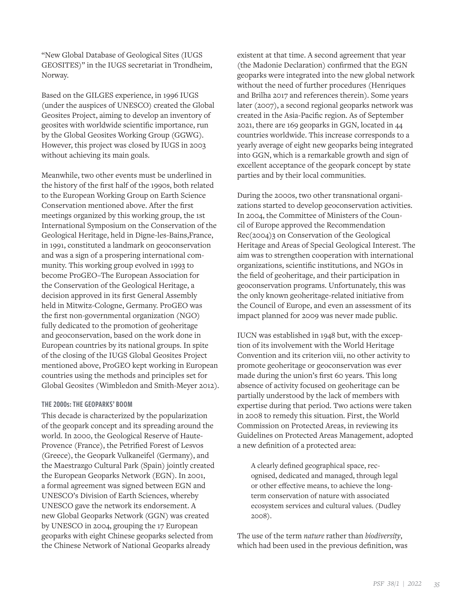"New Global Database of Geological Sites (IUGS GEOSITES)" in the IUGS secretariat in Trondheim, Norway.

Based on the GILGES experience, in 1996 IUGS (under the auspices of UNESCO) created the Global Geosites Project, aiming to develop an inventory of geosites with worldwide scientific importance, run by the Global Geosites Working Group (GGWG). However, this project was closed by IUGS in 2003 without achieving its main goals.

Meanwhile, two other events must be underlined in the history of the first half of the 1990s, both related to the European Working Group on Earth Science Conservation mentioned above. After the first meetings organized by this working group, the 1st International Symposium on the Conservation of the Geological Heritage, held in Digne-les-Bains,France, in 1991, constituted a landmark on geoconservation and was a sign of a prospering international community. This working group evolved in 1993 to become ProGEO–The European Association for the Conservation of the Geological Heritage, a decision approved in its first General Assembly held in Mitwitz-Cologne, Germany. ProGEO was the first non-governmental organization (NGO) fully dedicated to the promotion of geoheritage and geoconservation, based on the work done in European countries by its national groups. In spite of the closing of the IUGS Global Geosites Project mentioned above, ProGEO kept working in European countries using the methods and principles set for Global Geosites (Wimbledon and Smith-Meyer 2012).

#### THE 2000s: THE GEOPARKS' BOOM

This decade is characterized by the popularization of the geopark concept and its spreading around the world. In 2000, the Geological Reserve of Haute-Provence (France), the Petrified Forest of Lesvos (Greece), the Geopark Vulkaneifel (Germany), and the Maestrazgo Cultural Park (Spain) jointly created the European Geoparks Network (EGN). In 2001, a formal agreement was signed between EGN and UNESCO's Division of Earth Sciences, whereby UNESCO gave the network its endorsement. A new Global Geoparks Network (GGN) was created by UNESCO in 2004, grouping the 17 European geoparks with eight Chinese geoparks selected from the Chinese Network of National Geoparks already

existent at that time. A second agreement that year (the Madonie Declaration) confirmed that the EGN geoparks were integrated into the new global network without the need of further procedures (Henriques and Brilha 2017 and references therein). Some years later (2007), a second regional geoparks network was created in the Asia-Pacific region. As of September 2021, there are 169 geoparks in GGN, located in 44 countries worldwide. This increase corresponds to a yearly average of eight new geoparks being integrated into GGN, which is a remarkable growth and sign of excellent acceptance of the geopark concept by state parties and by their local communities.

During the 2000s, two other transnational organizations started to develop geoconservation activities. In 2004, the Committee of Ministers of the Council of Europe approved the Recommendation Rec(2004)3 on Conservation of the Geological Heritage and Areas of Special Geological Interest. The aim was to strengthen cooperation with international organizations, scientific institutions, and NGOs in the field of geoheritage, and their participation in geoconservation programs. Unfortunately, this was the only known geoheritage-related initiative from the Council of Europe, and even an assessment of its impact planned for 2009 was never made public.

IUCN was established in 1948 but, with the exception of its involvement with the World Heritage Convention and its criterion viii, no other activity to promote geoheritage or geoconservation was ever made during the union's first 60 years. This long absence of activity focused on geoheritage can be partially understood by the lack of members with expertise during that period. Two actions were taken in 2008 to remedy this situation. First, the World Commission on Protected Areas, in reviewing its Guidelines on Protected Areas Management, adopted a new definition of a protected area:

A clearly defined geographical space, recognised, dedicated and managed, through legal or other effective means, to achieve the longterm conservation of nature with associated ecosystem services and cultural values. (Dudley 2008).

The use of the term *nature* rather than *biodiversity*, which had been used in the previous definition, was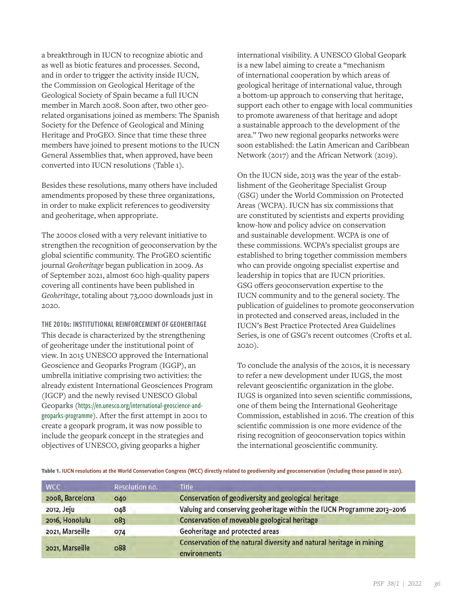a breakthrough in IUCN to recognize abiotic and as well as biotic features and processes. Second, and in order to trigger the activity inside IUCN, the Commission on Geological Heritage of the Geological Society of Spain became a full IUCN member in March 2008. Soon after, two other georelated organisations joined as members: The Spanish Society for the Defence of Geological and Mining Heritage and ProGEO. Since that time these three members have joined to present motions to the IUCN General Assemblies that, when approved, have been converted into IUCN resolutions (Table 1).

Besides these resolutions, many others have included amendments proposed by these three organizations, in order to make explicit references to geodiversity and geoheritage, when appropriate.

The 2000s closed with a very relevant initiative to strengthen the recognition of geoconservation by the global scientific community. The ProGEO scientific journal *Geoheritage* began publication in 2009. As of September 2021, almost 600 high-quality papers covering all continents have been published in *Geoheritage*, totaling about 73,000 downloads just in 2020.

THE 2010s: INSTITUTIONAL REINFORCEMENT OF GEOHERITAGE This decade is characterized by the strengthening of geoheritage under the institutional point of view. In 2015 UNESCO approved the International Geoscience and Geoparks Program (IGGP), an umbrella initiative comprising two activities: the already existent International Geosciences Program (IGCP) and the newly revised UNESCO Global Geoparks ([https://en.unesco.org/international-geoscience-and](https://en.unesco.org/international-geoscience-and-geoparks-programme)[geoparks-programme](https://en.unesco.org/international-geoscience-and-geoparks-programme)). After the first attempt in 2001 to create a geopark program, it was now possible to include the geopark concept in the strategies and objectives of UNESCO, giving geoparks a higher

international visibility. A UNESCO Global Geopark is a new label aiming to create a "mechanism of international cooperation by which areas of geological heritage of international value, through a bottom-up approach to conserving that heritage, support each other to engage with local communities to promote awareness of that heritage and adopt a sustainable approach to the development of the area." Two new regional geoparks networks were soon established: the Latin American and Caribbean Network (2017) and the African Network (2019).

On the IUCN side, 2013 was the year of the establishment of the Geoheritage Specialist Group (GSG) under the World Commission on Protected Areas (WCPA). IUCN has six commissions that are constituted by scientists and experts providing know-how and policy advice on conservation and sustainable development. WCPA is one of these commissions. WCPA's specialist groups are established to bring together commission members who can provide ongoing specialist expertise and leadership in topics that are IUCN priorities. GSG offers geoconservation expertise to the IUCN community and to the general society. The publication of guidelines to promote geoconservation in protected and conserved areas, included in the IUCN's Best Practice Protected Area Guidelines Series, is one of GSG's recent outcomes (Crofts et al. 2020).

To conclude the analysis of the 2010s, it is necessary to refer a new development under IUGS, the most relevant geoscientific organization in the globe. IUGS is organized into seven scientific commissions, one of them being the International Geoheritage Commission, established in 2016. The creation of this scientific commission is one more evidence of the rising recognition of geoconservation topics within the international geoscientific community.

Table 1. IUCN resolutions at the World Conservation Congress (WCC) directly related to geodiversity and geoconservation (including those passed in 2021).

| <b>WCC</b>      | Resolution no. | Title                                                                                |
|-----------------|----------------|--------------------------------------------------------------------------------------|
| 2008, Barcelona | 040            | Conservation of geodiversity and geological heritage                                 |
| 2012, Jeju      | 048            | Valuing and conserving geoheritage within the IUCN Programme 2013-2016               |
| 2016, Honolulu  | 083            | Conservation of moveable geological heritage                                         |
| 2021, Marseille | 074            | Geoheritage and protected areas                                                      |
| 2021, Marseille | 088            | Conservation of the natural diversity and natural heritage in mining<br>environments |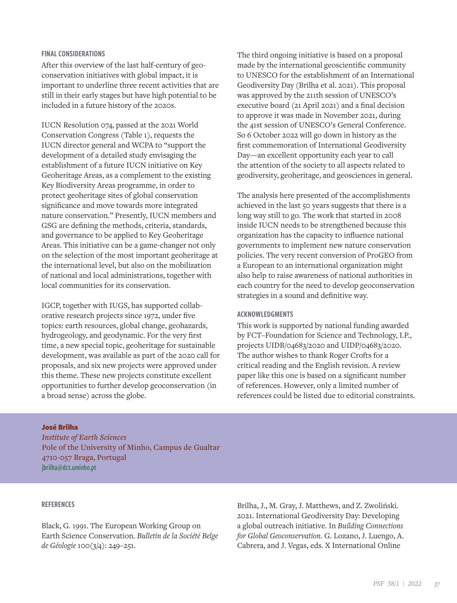#### FINAL CONSIDERATIONS

After this overview of the last half-century of geoconservation initiatives with global impact, it is important to underline three recent activities that are still in their early stages but have high potential to be included in a future history of the 2020s.

IUCN Resolution 074, passed at the 2021 World Conservation Congress (Table 1), requests the IUCN director general and WCPA to "support the development of a detailed study envisaging the establishment of a future IUCN initiative on Key Geoheritage Areas, as a complement to the existing Key Biodiversity Areas programme, in order to protect geoheritage sites of global conservation significance and move towards more integrated nature conservation." Presently, IUCN members and GSG are defining the methods, criteria, standards, and governance to be applied to Key Geoheritage Areas. This initiative can be a game-changer not only on the selection of the most important geoheritage at the international level, but also on the mobilization of national and local administrations, together with local communities for its conservation.

IGCP, together with IUGS, has supported collaborative research projects since 1972, under five topics: earth resources, global change, geohazards, hydrogeology, and geodynamic. For the very first time, a new special topic, geoheritage for sustainable development, was available as part of the 2020 call for proposals, and six new projects were approved under this theme. These new projects constitute excellent opportunities to further develop geoconservation (in a broad sense) across the globe.

The third ongoing initiative is based on a proposal made by the international geoscientific community to UNESCO for the establishment of an International Geodiversity Day (Brilha et al. 2021). This proposal was approved by the 211th session of UNESCO's executive board (21 April 2021) and a final decision to approve it was made in November 2021, during the 41st session of UNESCO's General Conference. So 6 October 2022 will go down in history as the first commemoration of International Geodiversity Day—an excellent opportunity each year to call the attention of the society to all aspects related to geodiversity, geoheritage, and geosciences in general.

The analysis here presented of the accomplishments achieved in the last 50 years suggests that there is a long way still to go. The work that started in 2008 inside IUCN needs to be strengthened because this organization has the capacity to influence national governments to implement new nature conservation policies. The very recent conversion of ProGEO from a European to an international organization might also help to raise awareness of national authorities in each country for the need to develop geoconservation strategies in a sound and definitive way.

#### ACKNOWLEDGMENTS

This work is supported by national funding awarded by FCT–Foundation for Science and Technology, I.P., projects UIDB/04683/2020 and UIDP/04683/2020. The author wishes to thank Roger Crofts for a critical reading and the English revision. A review paper like this one is based on a significant number of references. However, only a limited number of references could be listed due to editorial constraints.

# José Brilha

*Institute of Earth Sciences* **Pole of the University of Minho, Campus de Gualtar 4710-057 Braga, Portugal** [jbrilha@dct.uminho.pt](mailto:jbrilha@dct.uminho.pt)

# REFERENCES

Black, G. 1991. The European Working Group on Earth Science Conservation. *Bulletin de la Société Belge de Géologie* 100(3/4): 249–251.

Brilha, J., M. Gray, J. Matthews, and Z. Zwoliński. 2021. International Geodiversity Day: Developing a global outreach initiative. In *Building Connections for Global Geoconservation*. G. Lozano, J. Luengo, A. Cabrera, and J. Vegas, eds. X International Online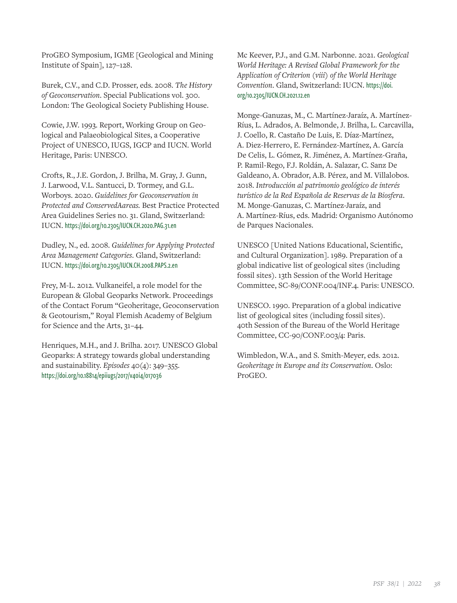ProGEO Symposium, IGME [Geological and Mining Institute of Spain], 127–128.

Burek, C.V., and C.D. Prosser, eds. 2008. *The History of Geoconservation*. Special Publications vol. 300. London: The Geological Society Publishing House.

Cowie, J.W. 1993. Report, Working Group on Geological and Palaeobiological Sites, a Cooperative Project of UNESCO, IUGS, IGCP and IUCN. World Heritage, Paris: UNESCO.

Crofts, R., J.E. Gordon, J. Brilha, M. Gray, J. Gunn, J. Larwood, V.L. Santucci, D. Tormey, and G.L. Worboys. 2020. *Guidelines for Geoconservation in Protected and ConservedAareas.* Best Practice Protected Area Guidelines Series no. 31. Gland, Switzerland: IUCN. <https://doi.org/10.2305/IUCN.CH.2020.PAG.31.en>

Dudley, N., ed. 2008. *Guidelines for Applying Protected Area Management Categories*. Gland, Switzerland: IUCN. <https://doi.org/10.2305/IUCN.CH.2008.PAPS.2.en>

Frey, M-L. 2012. Vulkaneifel, a role model for the European & Global Geoparks Network. Proceedings of the Contact Forum "Geoheritage, Geoconservation & Geotourism," Royal Flemish Academy of Belgium for Science and the Arts, 31–44.

Henriques, M.H., and J. Brilha. 2017. UNESCO Global Geoparks: A strategy towards global understanding and sustainability. *Episodes* 40(4): 349–355. <https://doi.org/10.18814/epiiugs/2017/v40i4/017036>

Mc Keever, P.J., and G.M. Narbonne. 2021. *Geological World Heritage: A Revised Global Framework for the Application of Criterion (viii) of the World Heritage Convention*. Gland, Switzerland: IUCN. [https://doi.](https://doi.org/10.2305/IUCN.CH.2021.12.en) [org/10.2305/IUCN.CH.2021.12.en](https://doi.org/10.2305/IUCN.CH.2021.12.en)

Monge-Ganuzas, M., C. Martínez-Jaraíz, A. Martínez-Ríus, L. Adrados, A. Belmonde, J. Brilha, L. Carcavilla, J. Coello, R. Castaño De Luis, E. Díaz-Martínez, A. Diez-Herrero, E. Fernández-Martínez, A. García De Celis, L. Gómez, R. Jiménez, A. Martínez-Graña, P. Ramil-Rego, F.J. Roldán, A. Salazar, C. Sanz De Galdeano, A. Obrador, A.B. Pérez, and M. Villalobos. 2018. *Introducción al patrimonio geológico de interés turístico de la Red Española de Reservas de la Biosfera*. M. Monge-Ganuzas, C. Martínez-Jaraíz, and A. Martínez-Ríus, eds. Madrid: Organismo Autónomo de Parques Nacionales.

UNESCO [United Nations Educational, Scientific, and Cultural Organization]. 1989. Preparation of a global indicative list of geological sites (including fossil sites). 13th Session of the World Heritage Committee, SC-89/CONF.004/INF.4. Paris: UNESCO.

UNESCO. 1990. Preparation of a global indicative list of geological sites (including fossil sites). 40th Session of the Bureau of the World Heritage Committee, CC-90/CONF.003/4: Paris.

Wimbledon, W.A., and S. Smith-Meyer, eds. 2012. *Geoheritage in Europe and its Conservation*. Oslo: ProGEO.